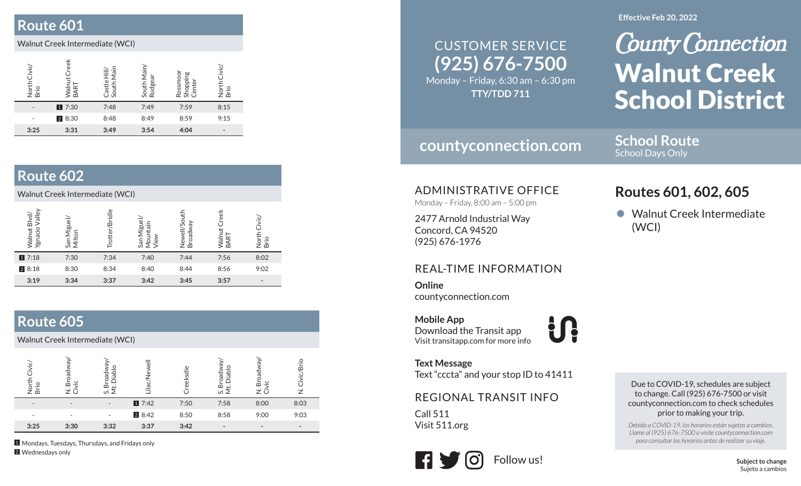## **Route 601**

#### Walnut Creek Intermediate (WCI)

| Civic/<br>North<br>Brio | eek<br>Walnu<br>균<br><b>RAI</b> | Hill/<br>Main<br>Castle<br>South | South Main<br>Rudgear | noor<br>Shopping<br>$\overline{\mathtt{\omega}}$<br><b>Rossi</b><br>ō | Civic<br>berio<br>Brio |
|-------------------------|---------------------------------|----------------------------------|-----------------------|-----------------------------------------------------------------------|------------------------|
|                         | 17:30                           | 7:48                             | 7:49                  | 7:59                                                                  | 8:15                   |
|                         | 2 8:30                          | 8:48                             | 8:49                  | 8:59                                                                  | 9:15                   |
| 3:25                    | 3:31                            | 3:49                             | 3:54                  | 4:04                                                                  | -                      |

#### **Route 602**

Walnut Creek Intermediate (WCI)

| Blvd/<br>Valley<br>Ygnacio<br>tut<br>lleW | ಠ<br>ngi<br>ă<br>යි | <b>Bridle</b> | San Miguel<br>≘.<br>E,<br>g<br>Sien | ell/Sou<br>৯<br>᠊ᢆ<br>້<br>O<br>Ż.<br>$\overline{\mathbf{c}}$ | eek<br>آھ<br>آ<br>'n۷<br>$\infty$ | $\circ$<br>$\infty$          |
|-------------------------------------------|---------------------|---------------|-------------------------------------|---------------------------------------------------------------|-----------------------------------|------------------------------|
| 17:18                                     | 7:30                | 7:34          | 7:40                                | 7:44                                                          | 7:56                              | 8:02                         |
| 28:18                                     | 8:30                | 8:34          | 8:40                                | 8:44                                                          | 8:56                              | 9:02                         |
| 3:19                                      | 3:34                | 3:37          | 3:42                                | 3:45                                                          | 3:57                              | $\qquad \qquad \blacksquare$ |

## **Route 605**

Walnut Creek Intermediate (WCI)

| z m  | ⊇.<br>ѽ | vi   | $\overline{a}$ | sdie<br>$\overline{\mathbb{Q}}$ | $\frac{0}{0}$<br>흐.<br>m<br>ທ ≥ | $\infty$                 | ₽<br>മ |
|------|---------|------|----------------|---------------------------------|---------------------------------|--------------------------|--------|
|      |         |      | 17:42          | 7:50                            | 7:58                            | 8:00                     | 8:03   |
|      |         |      | 2 8:42         | 8:50                            | 8:58                            | 9:00                     | 9:03   |
| 3:25 | 3:30    | 3:32 | 3:37           | 3:42                            | $\overline{\phantom{0}}$        | $\overline{\phantom{a}}$ |        |

1 Mondays, Tuesdays, Thursdays, and Fridays only 2 Wednesdays only

#### **(925) 676-7500** Monday – Friday, 6:30 am – 6:30 pm CUSTOMER SERVICE**TTY/TDD 711**

## **countyconnection.com**

**School Route** School Days Only

ADMINISTRATIVE OFFICE

Monday – Friday, 8:00 am – 5:00 pm

2477 Arnold Industrial Way Concord, CA 94520 (925) 676-1976

#### REAL-TIME INFORMATION

**Online**countyconnection.com

**Mobile App** Download the Transit app Visit transitapp.com for more info

**Text Message** Text "cccta" and your stop ID to 41411

tr

REGIONAL TRANSIT INFO

Call 511Visit 511.org



#### **Effective Feb 20, 2022**

**County Connection** Walnut Creek School District

# **Routes 601, 602, 605**

• Walnut Creek Intermediate (WCI)

Due to COVID-19, schedules are subject to change. Call (925) 676-7500 or visit countyconnection.com to check schedules prior to making your trip.

*Debido a COVID-19, los horarios están sujetos a cambios. Llame al (925) 676-7500 o visite countyconnection.com para consultar los horarios antes de realizar su viaje.*

> **Subject to change** Sujeto a cambios